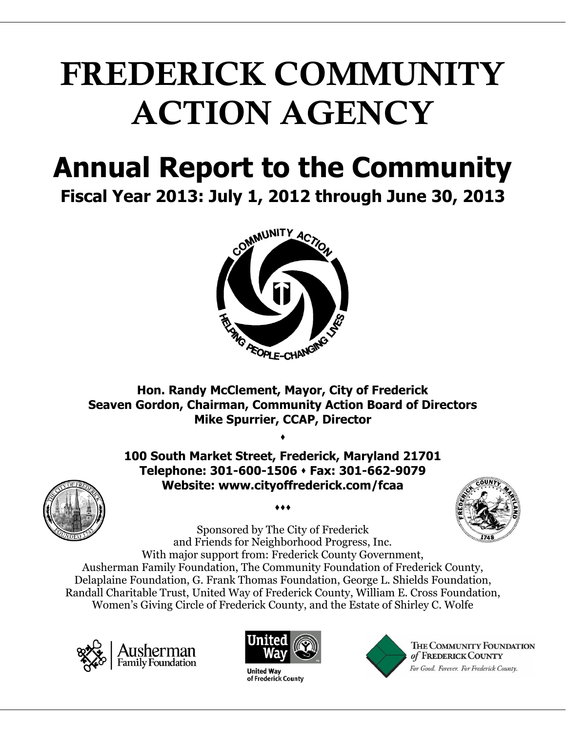# **FREDERICK COMMUNITY ACTION AGENCY**

## **Annual Report to the Community**

**Fiscal Year 2013: July 1, 2012 through June 30, 2013**



**Hon. Randy McClement, Mayor, City of Frederick Seaven Gordon, Chairman, Community Action Board of Directors Mike Spurrier, CCAP, Director**

 $\bullet$ 

**100 South Market Street, Frederick, Maryland 21701 Telephone: 301-600-1506 Fax: 301-662-9079 Website: www.cityoffrederick.com/fcaa**



 $\bullet\bullet\bullet$ 

Sponsored by The City of Frederick and Friends for Neighborhood Progress, Inc. With major support from: Frederick County Government, Ausherman Family Foundation, The Community Foundation of Frederick County, Delaplaine Foundation, G. Frank Thomas Foundation, George L. Shields Foundation, Randall Charitable Trust, United Way of Frederick County, William E. Cross Foundation, Women's Giving Circle of Frederick County, and the Estate of Shirley C. Wolfe





**United Way** of Frederick County



THE COMMUNITY FOUNDATION of FREDERICK COUNTY For Good. Forever. For Frederick County.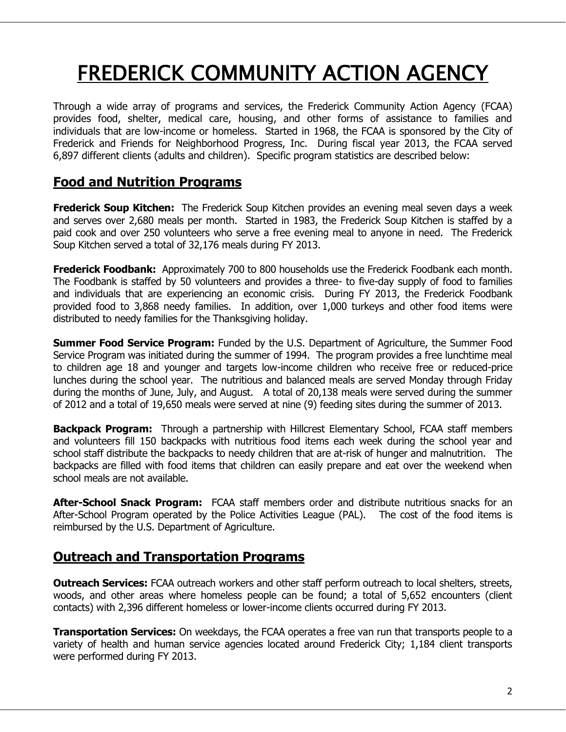### FREDERICK COMMUNITY ACTION AGENCY

Through a wide array of programs and services, the Frederick Community Action Agency (FCAA) provides food, shelter, medical care, housing, and other forms of assistance to families and individuals that are low-income or homeless. Started in 1968, the FCAA is sponsored by the City of Frederick and Friends for Neighborhood Progress, Inc. During fiscal year 2013, the FCAA served 6,897 different clients (adults and children). Specific program statistics are described below:

#### **Food and Nutrition Programs**

**Frederick Soup Kitchen:** The Frederick Soup Kitchen provides an evening meal seven days a week and serves over 2,680 meals per month. Started in 1983, the Frederick Soup Kitchen is staffed by a paid cook and over 250 volunteers who serve a free evening meal to anyone in need. The Frederick Soup Kitchen served a total of 32,176 meals during FY 2013.

**Frederick Foodbank:** Approximately 700 to 800 households use the Frederick Foodbank each month. The Foodbank is staffed by 50 volunteers and provides a three- to five-day supply of food to families and individuals that are experiencing an economic crisis. During FY 2013, the Frederick Foodbank provided food to 3,868 needy families. In addition, over 1,000 turkeys and other food items were distributed to needy families for the Thanksgiving holiday.

**Summer Food Service Program:** Funded by the U.S. Department of Agriculture, the Summer Food Service Program was initiated during the summer of 1994. The program provides a free lunchtime meal to children age 18 and younger and targets low-income children who receive free or reduced-price lunches during the school year. The nutritious and balanced meals are served Monday through Friday during the months of June, July, and August. A total of 20,138 meals were served during the summer of 2012 and a total of 19,650 meals were served at nine (9) feeding sites during the summer of 2013.

**Backpack Program:** Through a partnership with Hillcrest Elementary School, FCAA staff members and volunteers fill 150 backpacks with nutritious food items each week during the school year and school staff distribute the backpacks to needy children that are at-risk of hunger and malnutrition. The backpacks are filled with food items that children can easily prepare and eat over the weekend when school meals are not available.

**After-School Snack Program:** FCAA staff members order and distribute nutritious snacks for an After-School Program operated by the Police Activities League (PAL). The cost of the food items is reimbursed by the U.S. Department of Agriculture.

#### **Outreach and Transportation Programs**

**Outreach Services:** FCAA outreach workers and other staff perform outreach to local shelters, streets, woods, and other areas where homeless people can be found; a total of 5,652 encounters (client contacts) with 2,396 different homeless or lower-income clients occurred during FY 2013.

**Transportation Services:** On weekdays, the FCAA operates a free van run that transports people to a variety of health and human service agencies located around Frederick City; 1,184 client transports were performed during FY 2013.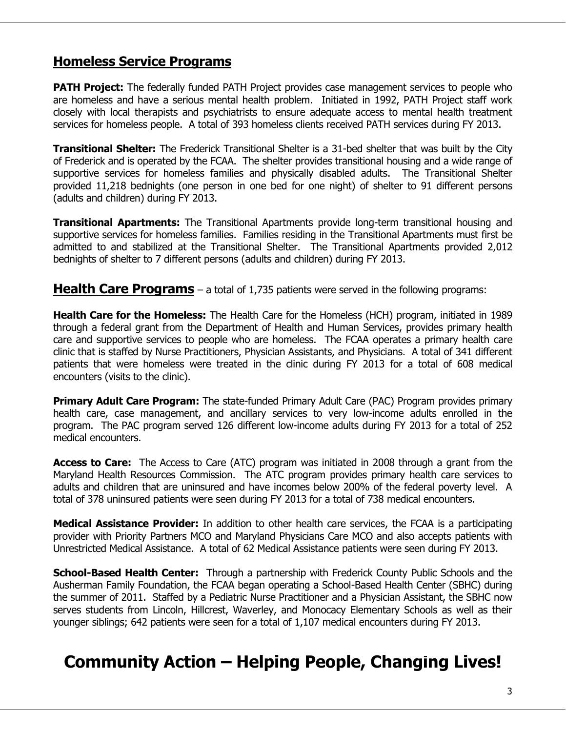#### **Homeless Service Programs**

**PATH Project:** The federally funded PATH Project provides case management services to people who are homeless and have a serious mental health problem. Initiated in 1992, PATH Project staff work closely with local therapists and psychiatrists to ensure adequate access to mental health treatment services for homeless people. A total of 393 homeless clients received PATH services during FY 2013.

**Transitional Shelter:** The Frederick Transitional Shelter is a 31-bed shelter that was built by the City of Frederick and is operated by the FCAA. The shelter provides transitional housing and a wide range of supportive services for homeless families and physically disabled adults. The Transitional Shelter provided 11,218 bednights (one person in one bed for one night) of shelter to 91 different persons (adults and children) during FY 2013.

**Transitional Apartments:** The Transitional Apartments provide long-term transitional housing and supportive services for homeless families. Families residing in the Transitional Apartments must first be admitted to and stabilized at the Transitional Shelter. The Transitional Apartments provided 2,012 bednights of shelter to 7 different persons (adults and children) during FY 2013.

**Health Care Programs** – a total of 1,735 patients were served in the following programs:

**Health Care for the Homeless:** The Health Care for the Homeless (HCH) program, initiated in 1989 through a federal grant from the Department of Health and Human Services, provides primary health care and supportive services to people who are homeless. The FCAA operates a primary health care clinic that is staffed by Nurse Practitioners, Physician Assistants, and Physicians. A total of 341 different patients that were homeless were treated in the clinic during FY 2013 for a total of 608 medical encounters (visits to the clinic).

**Primary Adult Care Program:** The state-funded Primary Adult Care (PAC) Program provides primary health care, case management, and ancillary services to very low-income adults enrolled in the program. The PAC program served 126 different low-income adults during FY 2013 for a total of 252 medical encounters.

**Access to Care:** The Access to Care (ATC) program was initiated in 2008 through a grant from the Maryland Health Resources Commission. The ATC program provides primary health care services to adults and children that are uninsured and have incomes below 200% of the federal poverty level. A total of 378 uninsured patients were seen during FY 2013 for a total of 738 medical encounters.

**Medical Assistance Provider:** In addition to other health care services, the FCAA is a participating provider with Priority Partners MCO and Maryland Physicians Care MCO and also accepts patients with Unrestricted Medical Assistance. A total of 62 Medical Assistance patients were seen during FY 2013.

**School-Based Health Center:** Through a partnership with Frederick County Public Schools and the Ausherman Family Foundation, the FCAA began operating a School-Based Health Center (SBHC) during the summer of 2011. Staffed by a Pediatric Nurse Practitioner and a Physician Assistant, the SBHC now serves students from Lincoln, Hillcrest, Waverley, and Monocacy Elementary Schools as well as their younger siblings; 642 patients were seen for a total of 1,107 medical encounters during FY 2013.

### **Community Action – Helping People, Changing Lives!**